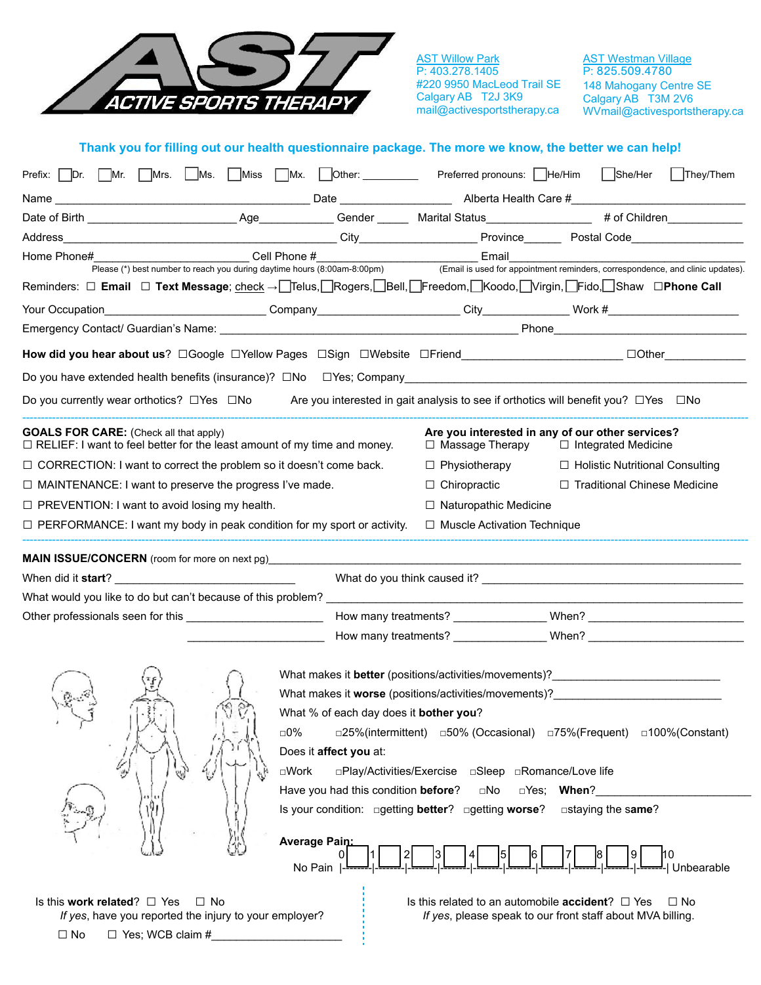

**AST Willow Park** P: 403.278.1405 #220 9950 MacLeod Trail SE Calgary AB T2J 3K9 mail@activesportstherapy.ca

AST Westman Village P: 825.509.4780 148 Mahogany Centre SE Calgary AB T3M 2V6 WVmail@activesportstherapy.ca

| Thank you for filling out our health questionnaire package. The more we know, the better we can help! |  |  |
|-------------------------------------------------------------------------------------------------------|--|--|
|                                                                                                       |  |  |

| Prefix: Dr. Mr. Mrs. Ms. Miss Miss Mx. Other: Preferred pronouns: He/Him                                                         |                                                       |                                                               | She/Her<br>$\Box$ They/Them                                                                                                                                                                                                    |
|----------------------------------------------------------------------------------------------------------------------------------|-------------------------------------------------------|---------------------------------------------------------------|--------------------------------------------------------------------------------------------------------------------------------------------------------------------------------------------------------------------------------|
| Name                                                                                                                             |                                                       |                                                               |                                                                                                                                                                                                                                |
|                                                                                                                                  |                                                       |                                                               |                                                                                                                                                                                                                                |
|                                                                                                                                  |                                                       |                                                               |                                                                                                                                                                                                                                |
| Home Phone#                                                                                                                      |                                                       |                                                               | Email Email Email Email Email Email Email Email Email Email Email Email Email Email Email Email Email Email Archae (*) best number to reach you during daytime hours (8:00am-8:00pm) (Email is used for appointment reminders, |
| Reminders: □ Email □ Text Message; check → OTelus, ORogers, OBell, OFreedom, OKoodo, OVirgin, OFido, OShaw □Phone Call           |                                                       |                                                               |                                                                                                                                                                                                                                |
| Your Occupation                                                                                                                  |                                                       |                                                               | Company Company Company City City Nork #                                                                                                                                                                                       |
|                                                                                                                                  |                                                       |                                                               |                                                                                                                                                                                                                                |
| How did you hear about us? □Google □Yellow Pages □Sign □Website □Friend____________________________ □Other___________            |                                                       |                                                               |                                                                                                                                                                                                                                |
| Do you have extended health benefits (insurance)? □No □ Yes; Company_______________________________                              |                                                       |                                                               |                                                                                                                                                                                                                                |
| Do you currently wear orthotics? □ Yes □ No Are you interested in gait analysis to see if orthotics will benefit you? □ Yes □ No |                                                       |                                                               |                                                                                                                                                                                                                                |
| <b>GOALS FOR CARE:</b> (Check all that apply)<br>$\Box$ RELIEF: I want to feel better for the least amount of my time and money. |                                                       | □ Massage Therapy                                             | Are you interested in any of our other services?<br>$\Box$ Integrated Medicine                                                                                                                                                 |
| $\Box$ CORRECTION: I want to correct the problem so it doesn't come back.                                                        |                                                       | $\Box$ Physiotherapy                                          | $\Box$ Holistic Nutritional Consulting                                                                                                                                                                                         |
| $\Box$ MAINTENANCE: I want to preserve the progress I've made.                                                                   |                                                       | $\Box$ Chiropractic                                           | □ Traditional Chinese Medicine                                                                                                                                                                                                 |
| $\Box$ PREVENTION: I want to avoid losing my health.                                                                             |                                                       | $\Box$ Naturopathic Medicine                                  |                                                                                                                                                                                                                                |
| $\Box$ PERFORMANCE: I want my body in peak condition for my sport or activity.                                                   |                                                       | $\Box$ Muscle Activation Technique                            |                                                                                                                                                                                                                                |
|                                                                                                                                  |                                                       |                                                               |                                                                                                                                                                                                                                |
| <b>MAIN ISSUE/CONCERN</b> (room for more on next pg)                                                                             |                                                       |                                                               |                                                                                                                                                                                                                                |
| When did it <b>start</b> ?                                                                                                       |                                                       |                                                               |                                                                                                                                                                                                                                |
|                                                                                                                                  |                                                       |                                                               |                                                                                                                                                                                                                                |
|                                                                                                                                  |                                                       |                                                               |                                                                                                                                                                                                                                |
|                                                                                                                                  |                                                       |                                                               |                                                                                                                                                                                                                                |
|                                                                                                                                  |                                                       |                                                               | What makes it <b>better</b> (positions/activities/movements)?_________________________                                                                                                                                         |
|                                                                                                                                  |                                                       |                                                               | What makes it <b>worse</b> (positions/activities/movements)?                                                                                                                                                                   |
|                                                                                                                                  | What % of each day does it bother you?                |                                                               |                                                                                                                                                                                                                                |
|                                                                                                                                  | □0%                                                   |                                                               | □25%(intermittent) □50% (Occasional) □75%(Frequent) □100%(Constant)                                                                                                                                                            |
|                                                                                                                                  | Does it affect you at:                                |                                                               |                                                                                                                                                                                                                                |
|                                                                                                                                  | $\square$ Work                                        | □Play/Activities/Exercise □Sleep □Romance/Love life           |                                                                                                                                                                                                                                |
|                                                                                                                                  | Have you had this condition before?                   | $\square$ No                                                  | □Yes; When?                                                                                                                                                                                                                    |
|                                                                                                                                  | Is your condition: □ getting better? □ getting worse? |                                                               | $\Box$ staying the same?                                                                                                                                                                                                       |
|                                                                                                                                  | Average Pain                                          |                                                               |                                                                                                                                                                                                                                |
|                                                                                                                                  | No Pain                                               |                                                               | Unbearable                                                                                                                                                                                                                     |
| Is this work related? $\Box$ Yes<br>$\Box$ No                                                                                    |                                                       | Is this related to an automobile <b>accident</b> ? $\Box$ Yes | $\Box$ No                                                                                                                                                                                                                      |
| If yes, have you reported the injury to your employer?                                                                           |                                                       |                                                               | If yes, please speak to our front staff about MVA billing.                                                                                                                                                                     |
| $\Box$ No<br>$\Box$ Yes; WCB claim #                                                                                             |                                                       |                                                               |                                                                                                                                                                                                                                |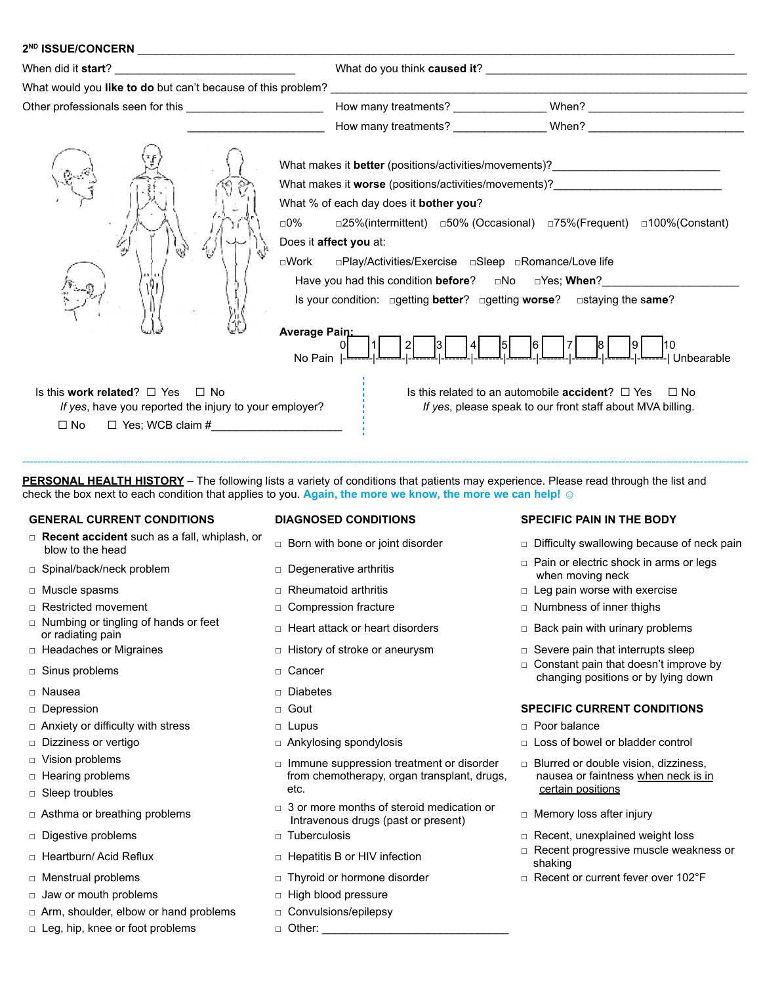| What would you like to do but can't because of this problem?                                                                                 | <u> 1989 - Andrea State Barbara, amerikan personal di sebagai personal di sebagai personal di sebagai personal d</u>                                                                                                                                                                                                                                                                                                                                                                                                                                                                          |  |
|----------------------------------------------------------------------------------------------------------------------------------------------|-----------------------------------------------------------------------------------------------------------------------------------------------------------------------------------------------------------------------------------------------------------------------------------------------------------------------------------------------------------------------------------------------------------------------------------------------------------------------------------------------------------------------------------------------------------------------------------------------|--|
|                                                                                                                                              |                                                                                                                                                                                                                                                                                                                                                                                                                                                                                                                                                                                               |  |
|                                                                                                                                              |                                                                                                                                                                                                                                                                                                                                                                                                                                                                                                                                                                                               |  |
| ⊓0%                                                                                                                                          | What makes it better (positions/activities/movements)? _________________________<br>What makes it worse (positions/activities/movements)? __________________________<br>What % of each day does it bother you?<br>□25%(intermittent) □50% (Occasional) □75%(Frequent) □100%(Constant)<br>Does it affect you at:<br>□Play/Activities/Exercise □Sleep □Romance/Love life<br>⊡Work<br>Have you had this condition before? $\Box$ No $\Box$ Yes; When?<br>Is your condition: ogetting better? ogetting worse? ostaying the same?<br>Average Pain:<br>$\left[\frac{1}{\sqrt{2}}\right]$<br>No Pain |  |
| Is this work related? $\Box$ Yes $\Box$ No<br>If yes, have you reported the injury to your employer?<br>$\Box$ Yes; WCB claim #<br>$\Box$ No | Is this related to an automobile <b>accident</b> ? $\Box$ Yes $\Box$ No<br>If yes, please speak to our front staff about MVA billing.                                                                                                                                                                                                                                                                                                                                                                                                                                                         |  |

**PERSONAL HEALTH HISTORY** – The following lists a variety of conditions that patients may experience. Please read through the list and check the box next to each condition that applies to you. Again, the more we know, the more we can help! *vection* 

---------------------------------------------------------------------------------------------------------------------------------------------------------------------------------------------------

#### **GENERAL CURRENT CONDITIONS DIAGNOSED CONDITIONS SPECIFIC PAIN IN THE BODY**

- **□ Recent accident** such as a fall, whiplash, or blow to the head □ Born with bone or joint disorder □ Difficulty swallowing because of neck pain
- 
- 
- 
- □ Numbing or tingling of hands or feet or radiating pain urinary problems **□** Heart attack or heart disorders □ Back pain with urinary problems or radiating pain
- 
- 
- 
- 
- □ Anxiety or difficulty with stress □ Lupus □ Lupus □ Poor balance
- 
- 
- □ Hearing problems
- □ Sleep troubles
- 
- 
- 
- 
- □ Jaw or mouth problems □ □ High blood pressure
- □ Arm, shoulder, elbow or hand problems □ Convulsions/epilepsy
- □ Leg, hip, knee or foot problems □ Other:

- 
- 
- 
- 
- 
- 
- 
- □ Nausea **□** Diabetes
	-
	-
	-
- □ Vision problems □ Immune suppression treatment or disorder from chemotherapy, organ transplant, drugs, etc.
- □ Asthma or breathing problems □ 3 or more months of steroid medication or Jor more montris or steroid medication or a complementy loss after injury<br>Intravenous drugs (past or present)
	-
	-
	-
	-
	-
	-

- 
- □ Spinal/back/neck problem □ □ Degenerative arthritis □ □ Pain or electric shock in arms or legs when moving neck
- □ Muscle spasms □ □ Rheumatoid arthritis □ □ Revention □ □ Leg pain worse with exercise
- □ Restricted movement □ □ Compression fracture □ □ Numbness of inner thighs
	-
- □ Headaches or Migraines □ Inistory of stroke or aneurysm □ Severe pain that interrupts sleep
- □ Sinus problems □ □ Cancer □ Cancer □ □ Cancer □ □ □ Constant pain that doesn't improve by changing positions or by lying down

#### □ Depression Gout **SPECIFIC CURRENT CONDITIONS**

- 
- □ Dizziness or vertigo □ Ankylosing spondylosis **□** Loss of bowel or bladder control
	- □ Blurred or double vision, dizziness, nausea or faintness when neck is in certain positions
	-
- □ Digestive problems □ Tuberculosis Recent, unexplained weight loss
- □ Heartburn/ Acid Reflux □ Nepatitis B or HIV infection □ □ Recent progressive muscle weakness or shaking
- □ Menstrual problems □ □ Thyroid or hormone disorder □ □ Recent or current fever over 102°F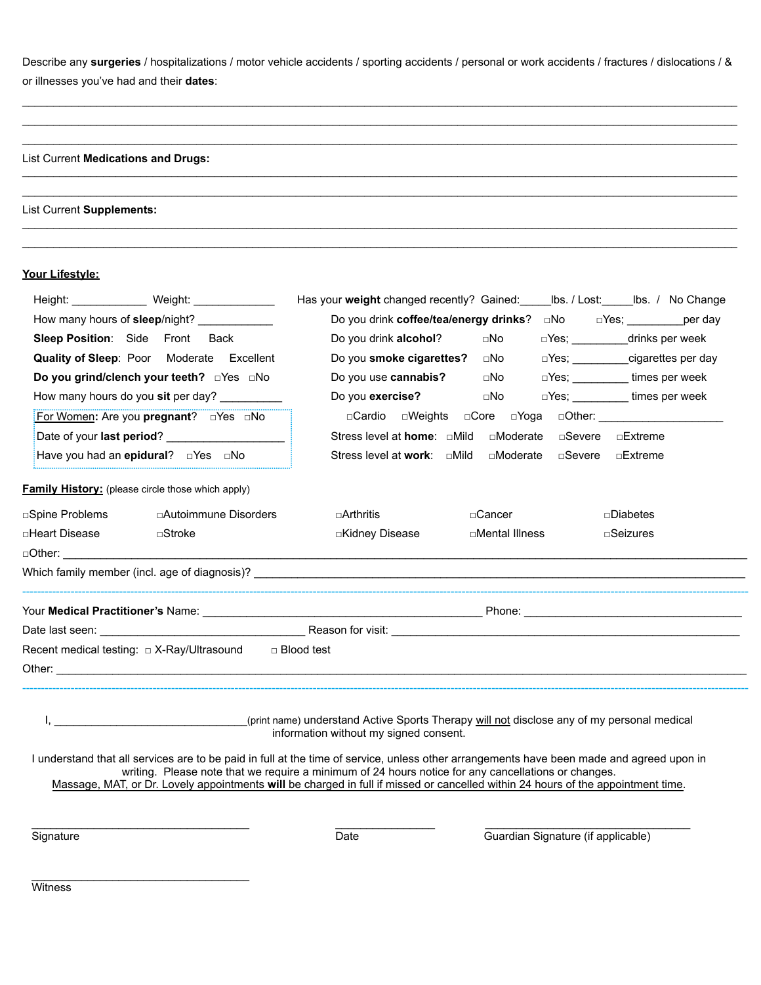Describe any surgeries / hospitalizations / motor vehicle accidents / sporting accidents / personal or work accidents / fractures / dislocations / & or illnesses you've had and their **dates**:

 $\_$  , and the state of the state of the state of the state of the state of the state of the state of the state of the state of the state of the state of the state of the state of the state of the state of the state of the  $\_$  , and the set of the set of the set of the set of the set of the set of the set of the set of the set of the set of the set of the set of the set of the set of the set of the set of the set of the set of the set of th  $\_$  , and the state of the state of the state of the state of the state of the state of the state of the state of the state of the state of the state of the state of the state of the state of the state of the state of the

 $\_$  , and the state of the state of the state of the state of the state of the state of the state of the state of the state of the state of the state of the state of the state of the state of the state of the state of the  $\_$  , and the set of the set of the set of the set of the set of the set of the set of the set of the set of the set of the set of the set of the set of the set of the set of the set of the set of the set of the set of th

 $\_$  , and the set of the set of the set of the set of the set of the set of the set of the set of the set of the set of the set of the set of the set of the set of the set of the set of the set of the set of the set of th  $\_$  , and the state of the state of the state of the state of the state of the state of the state of the state of the state of the state of the state of the state of the state of the state of the state of the state of the

### List Current **Medications and Drugs:**

#### List Current **Supplements:**

## **Your Lifestyle:**

| Height: _______________ Weight: ______________                    | Has your weight changed recently? Gained: Ibs. / Lost: Ibs. / No Change                                                                                                                                                                                                                                                                                                              |
|-------------------------------------------------------------------|--------------------------------------------------------------------------------------------------------------------------------------------------------------------------------------------------------------------------------------------------------------------------------------------------------------------------------------------------------------------------------------|
| How many hours of sleep/night? _____________                      | Do you drink coffee/tea/energy drinks?<br>$\square$ No<br>□Yes; __________per day                                                                                                                                                                                                                                                                                                    |
| Sleep Position: Side Front Back                                   | Do you drink alcohol?<br>□No<br>□Yes; ____________drinks per week                                                                                                                                                                                                                                                                                                                    |
| Quality of Sleep: Poor Moderate Excellent                         | Do you smoke cigarettes?<br>□Yes; cigarettes per day<br>⊡No                                                                                                                                                                                                                                                                                                                          |
| Do you grind/clench your teeth? DYes DNo                          | Do you use cannabis?<br>DYes; ___________ times per week<br>⊡No                                                                                                                                                                                                                                                                                                                      |
| How many hours do you sit per day?                                | Do you exercise?<br>□Yes; ___________times per week<br>$\square$ No                                                                                                                                                                                                                                                                                                                  |
| For Women: Are you pregnant? DYes DNo                             |                                                                                                                                                                                                                                                                                                                                                                                      |
| Date of your last period? ____________________                    | Stress level at home: □Mild<br>□Moderate<br>□Severe □Extreme                                                                                                                                                                                                                                                                                                                         |
| Have you had an epidural? DYes DNo                                | Stress level at <b>work</b> : $\Box$ Mild<br>□Moderate □Severe □Extreme                                                                                                                                                                                                                                                                                                              |
| <b>Family History:</b> (please circle those which apply)          |                                                                                                                                                                                                                                                                                                                                                                                      |
| □ Autoimmune Disorders<br>□Spine Problems                         | □Arthritis<br>□Cancer<br>□Diabetes                                                                                                                                                                                                                                                                                                                                                   |
| □Heart Disease<br>$\square$ Stroke                                | □Kidney Disease<br>□Mental Illness<br>$\square$ Seizures                                                                                                                                                                                                                                                                                                                             |
| $\Box$ Other: $\Box$                                              |                                                                                                                                                                                                                                                                                                                                                                                      |
|                                                                   |                                                                                                                                                                                                                                                                                                                                                                                      |
|                                                                   |                                                                                                                                                                                                                                                                                                                                                                                      |
|                                                                   |                                                                                                                                                                                                                                                                                                                                                                                      |
| Recent medical testing: $\Box$ X-Ray/Ultrasound $\Box$ Blood test |                                                                                                                                                                                                                                                                                                                                                                                      |
|                                                                   |                                                                                                                                                                                                                                                                                                                                                                                      |
|                                                                   | I, state of the term of the term of the term of the term of the term of the term of the term of the term of the term of the term of the term of the term of the term of the term of the term of the term of the term of the te<br>information without my signed consent.                                                                                                             |
|                                                                   | I understand that all services are to be paid in full at the time of service, unless other arrangements have been made and agreed upon in<br>writing. Please note that we require a minimum of 24 hours notice for any cancellations or changes.<br>Massage, MAT, or Dr. Lovely appointments will be charged in full if missed or cancelled within 24 hours of the appointment time. |
|                                                                   |                                                                                                                                                                                                                                                                                                                                                                                      |
| Signature                                                         | Guardian Signature (if applicable)<br><b>Date</b>                                                                                                                                                                                                                                                                                                                                    |
|                                                                   |                                                                                                                                                                                                                                                                                                                                                                                      |
|                                                                   |                                                                                                                                                                                                                                                                                                                                                                                      |
| Witness                                                           |                                                                                                                                                                                                                                                                                                                                                                                      |